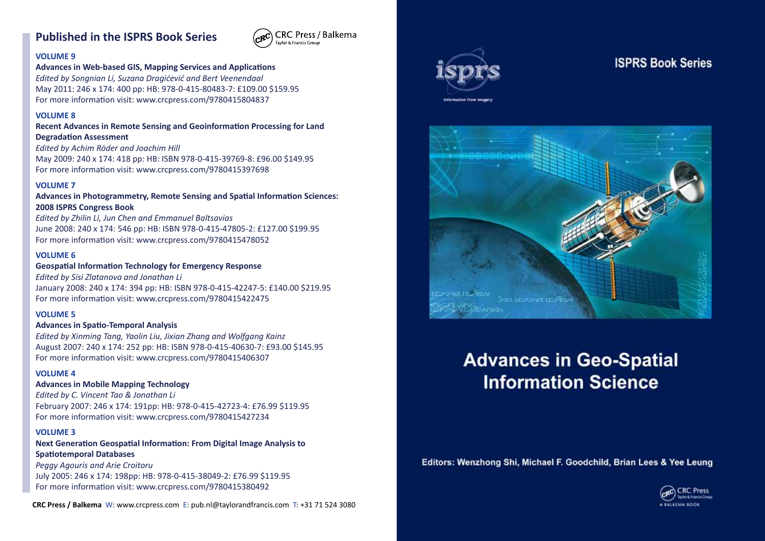## **Published in the ISPRS Book Series**



#### **VOLUME 9**

**Advances in Web-based GIS, Mapping Services and Applications** *Edited by Songnian Li, Suzana Dragićević and Bert Veenendaal*

May 2011: 246 x 174: 400 pp: HB: 978-0-415-80483-7: £109.00 \$159.95 For more information visit: www.crcpress.com/9780415804837

## **VOLUME 8**

**Recent Advances in Remote Sensing and Geoinformation Processing for Land Degradation Assessment**

*Edited by Achim Röder and Joachim Hill* May 2009: 240 x 174: 418 pp: HB: ISBN 978-0-415-39769-8: £96.00 \$149.95 For more information visit: www.crcpress.com/9780415397698

#### **VOLUME 7**

**Advances in Photogrammetry, Remote Sensing and Spatial Information Sciences: 2008 ISPRS Congress Book**

*Edited by Zhilin Li, Jun Chen and Emmanuel Baltsavias* June 2008: 240 x 174: 546 pp: HB: ISBN 978-0-415-47805-2: £127.00 \$199.95 For more information visit: www.crcpress.com/9780415478052

## **VOLUME 6**

**Geospatial Information Technology for Emergency Response** *Edited by Sisi Zlatanova and Jonathan Li* January 2008: 240 x 174: 394 pp: HB: ISBN 978-0-415-42247-5: £140.00 \$219.95 For more information visit: www.crcpress.com/9780415422475

## **VOLUME 5**

## **Advances in Spatio-Temporal Analysis**

*Edited by Xinming Tang, Yaolin Liu, Jixian Zhang and Wolfgang Kainz* August 2007: 240 x 174: 252 pp: HB: ISBN 978-0-415-40630-7: £93.00 \$145.95 For more information visit: www.crcpress.com/9780415406307

#### **VOLUME 4**

## **Advances in Mobile Mapping Technology**

*Edited by C. Vincent Tao & Jonathan Li* February 2007: 246 x 174: 191pp: HB: 978-0-415-42723-4: £76.99 \$119.95 For more information visit: www.crcpress.com/9780415427234

#### **VOLUME 3**

**Next Generation Geospatial Information: From Digital Image Analysis to Spatiotemporal Databases**

*Peggy Agouris and Arie Croitoru* July 2005: 246 x 174: 198pp: HB: 978-0-415-38049-2: £76.99 \$119.95 For more information visit: www.crcpress.com/9780415380492

**CRC Press / Balkema** W: www.crcpress.com E: pub.nl@taylorandfrancis.com T: +31 71 524 3080



# **ISPRS Book Series**



# **Advances in Geo-Spatial Information Science**

Editors: Wenzhong Shi, Michael F. Goodchild, Brian Lees & Yee Leung